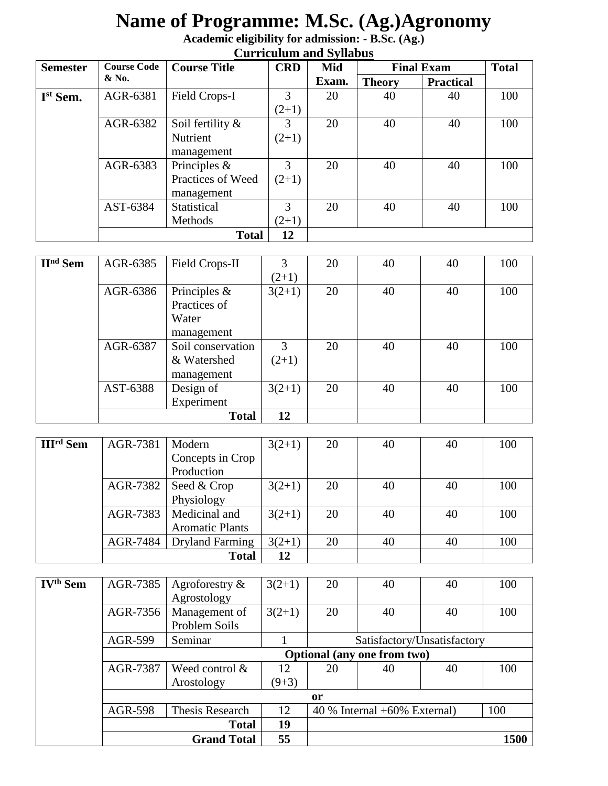# **Name of Programme: M.Sc. (Ag.)Agronomy**

**Academic eligibility for admission: - B.Sc. (Ag.)**

|  |  | <b>Curriculum and Syllabus</b> |  |  |
|--|--|--------------------------------|--|--|
|--|--|--------------------------------|--|--|

| <b>Course Code</b><br><b>Semester</b> |               | <b>Course Title</b> | <b>CRD</b> | Mid   | <b>Final Exam</b> |                  | <b>Total</b> |
|---------------------------------------|---------------|---------------------|------------|-------|-------------------|------------------|--------------|
|                                       | $&\text{No.}$ |                     |            | Exam. | <b>Theory</b>     | <b>Practical</b> |              |
| I <sup>st</sup> Sem.                  | AGR-6381      | Field Crops-I       | 3          | 20    | 40                | 40               | 100          |
|                                       |               |                     | $(2+1)$    |       |                   |                  |              |
|                                       | AGR-6382      | Soil fertility &    | 3          | 20    | 40                | 40               | 100          |
|                                       |               | Nutrient            | $(2+1)$    |       |                   |                  |              |
|                                       |               | management          |            |       |                   |                  |              |
|                                       | AGR-6383      | Principles $\&$     | 3          | 20    | 40                | 40               | 100          |
|                                       |               | Practices of Weed   | $(2+1)$    |       |                   |                  |              |
|                                       |               | management          |            |       |                   |                  |              |
|                                       | AST-6384      | Statistical         | 3          | 20    | 40                | 40               | 100          |
|                                       |               | Methods             | $(2+1)$    |       |                   |                  |              |
|                                       |               | <b>Total</b>        | 12         |       |                   |                  |              |

| $\mathbf{H}^{\text{nd}}$ Sem | AGR-6385 | Field Crops-II    | 3        | 20 | 40 | 40 | 100 |
|------------------------------|----------|-------------------|----------|----|----|----|-----|
|                              |          |                   | $(2+1)$  |    |    |    |     |
|                              | AGR-6386 | Principles $\&$   | $3(2+1)$ | 20 | 40 | 40 | 100 |
|                              |          | Practices of      |          |    |    |    |     |
|                              |          | Water             |          |    |    |    |     |
|                              |          | management        |          |    |    |    |     |
|                              | AGR-6387 | Soil conservation | 3        | 20 | 40 | 40 | 100 |
|                              |          | & Watershed       | $(2+1)$  |    |    |    |     |
|                              |          | management        |          |    |    |    |     |
|                              | AST-6388 | Design of         | $3(2+1)$ | 20 | 40 | 40 | 100 |
|                              |          | Experiment        |          |    |    |    |     |
|                              |          | <b>Total</b>      | 12       |    |    |    |     |

| <b>III<sup>rd</sup></b> Sem | AGR-7381 | Modern                     | $3(2+1)$ | 20 | 40 | 40 | 100 |
|-----------------------------|----------|----------------------------|----------|----|----|----|-----|
|                             |          | Concepts in Crop           |          |    |    |    |     |
|                             |          | Production                 |          |    |    |    |     |
|                             | AGR-7382 | Seed & Crop                | $3(2+1)$ | 20 | 40 | 40 | 100 |
|                             |          | Physiology                 |          |    |    |    |     |
|                             |          | AGR-7383   Medicinal and   | $3(2+1)$ | 20 | 40 | 40 | 100 |
|                             |          | <b>Aromatic Plants</b>     |          |    |    |    |     |
|                             |          | AGR-7484   Dryland Farming | $3(2+1)$ | 20 | 40 | 40 | 100 |
|                             |          | <b>Total</b>               | 12       |    |    |    |     |

| IV <sup>th</sup> Sem | AGR-7385                           | Agroforestry $\&$  | $3(2+1)$ | 20            | 40                             | 40 | 100  |
|----------------------|------------------------------------|--------------------|----------|---------------|--------------------------------|----|------|
|                      |                                    | Agrostology        |          |               |                                |    |      |
|                      | AGR-7356                           | Management of      | $3(2+1)$ | 20            | 40                             | 40 | 100  |
|                      |                                    | Problem Soils      |          |               |                                |    |      |
|                      | AGR-599                            | Seminar            |          |               | Satisfactory/Unsatisfactory    |    |      |
|                      | <b>Optional (any one from two)</b> |                    |          |               |                                |    |      |
|                      | AGR-7387                           | Weed control $\&$  | 12       | 20            | 40                             | 40 | 100  |
|                      |                                    | Arostology         | $(9+3)$  |               |                                |    |      |
|                      |                                    |                    |          | <sub>or</sub> |                                |    |      |
|                      | <b>AGR-598</b>                     | Thesis Research    | 12       |               | $40\%$ Internal +60% External) |    | 100  |
|                      |                                    | <b>Total</b>       | 19       |               |                                |    |      |
|                      |                                    | <b>Grand Total</b> | 55       |               |                                |    | 1500 |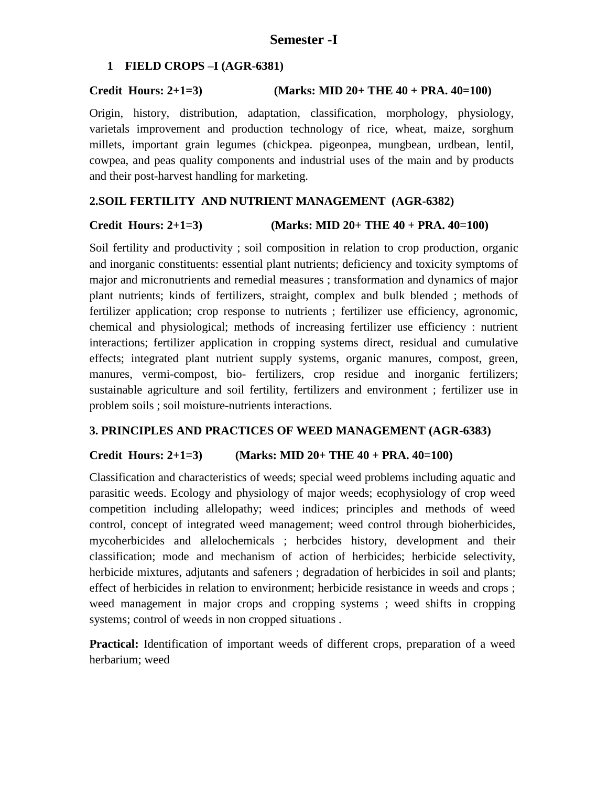# **1 FIELD CROPS –I (AGR-6381)**

# **Credit Hours: 2+1=3) (Marks: MID 20+ THE 40 + PRA. 40=100)**

Origin, history, distribution, adaptation, classification, morphology, physiology, varietals improvement and production technology of rice, wheat, maize, sorghum millets, important grain legumes (chickpea. pigeonpea, mungbean, urdbean, lentil, cowpea, and peas quality components and industrial uses of the main and by products and their post-harvest handling for marketing.

# **2.SOIL FERTILITY AND NUTRIENT MANAGEMENT (AGR-6382)**

# **Credit Hours: 2+1=3) (Marks: MID 20+ THE 40 + PRA. 40=100)**

Soil fertility and productivity ; soil composition in relation to crop production, organic and inorganic constituents: essential plant nutrients; deficiency and toxicity symptoms of major and micronutrients and remedial measures ; transformation and dynamics of major plant nutrients; kinds of fertilizers, straight, complex and bulk blended ; methods of fertilizer application; crop response to nutrients ; fertilizer use efficiency, agronomic, chemical and physiological; methods of increasing fertilizer use efficiency : nutrient interactions; fertilizer application in cropping systems direct, residual and cumulative effects; integrated plant nutrient supply systems, organic manures, compost, green, manures, vermi-compost, bio- fertilizers, crop residue and inorganic fertilizers; sustainable agriculture and soil fertility, fertilizers and environment ; fertilizer use in problem soils ; soil moisture-nutrients interactions.

# **3. PRINCIPLES AND PRACTICES OF WEED MANAGEMENT (AGR-6383)**

# **Credit Hours: 2+1=3) (Marks: MID 20+ THE 40 + PRA. 40=100)**

Classification and characteristics of weeds; special weed problems including aquatic and parasitic weeds. Ecology and physiology of major weeds; ecophysiology of crop weed competition including allelopathy; weed indices; principles and methods of weed control, concept of integrated weed management; weed control through bioherbicides, mycoherbicides and allelochemicals ; herbcides history, development and their classification; mode and mechanism of action of herbicides; herbicide selectivity, herbicide mixtures, adjutants and safeners ; degradation of herbicides in soil and plants; effect of herbicides in relation to environment; herbicide resistance in weeds and crops ; weed management in major crops and cropping systems ; weed shifts in cropping systems; control of weeds in non cropped situations .

**Practical:** Identification of important weeds of different crops, preparation of a weed herbarium; weed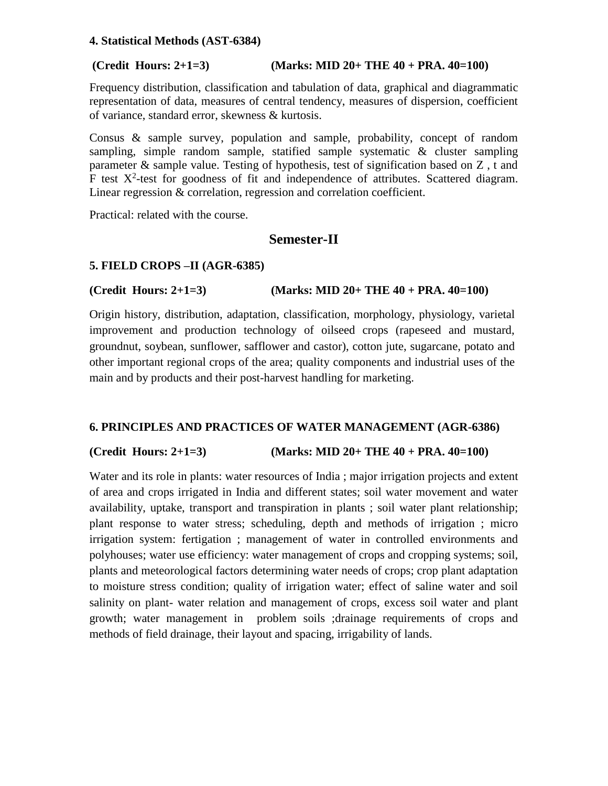### **4. Statistical Methods (AST-6384)**

# **(Credit Hours: 2+1=3) (Marks: MID 20+ THE 40 + PRA. 40=100)**

Frequency distribution, classification and tabulation of data, graphical and diagrammatic representation of data, measures of central tendency, measures of dispersion, coefficient of variance, standard error, skewness & kurtosis.

Consus & sample survey, population and sample, probability, concept of random sampling, simple random sample, statified sample systematic  $\&$  cluster sampling parameter & sample value. Testing of hypothesis, test of signification based on  $Z$ , t and F test  $X^2$ -test for goodness of fit and independence of attributes. Scattered diagram. Linear regression & correlation, regression and correlation coefficient.

Practical: related with the course.

# **Semester-II**

# **5. FIELD CROPS –II (AGR-6385)**

# **(Credit Hours: 2+1=3) (Marks: MID 20+ THE 40 + PRA. 40=100)**

Origin history, distribution, adaptation, classification, morphology, physiology, varietal improvement and production technology of oilseed crops (rapeseed and mustard, groundnut, soybean, sunflower, safflower and castor), cotton jute, sugarcane, potato and other important regional crops of the area; quality components and industrial uses of the main and by products and their post-harvest handling for marketing.

# **6. PRINCIPLES AND PRACTICES OF WATER MANAGEMENT (AGR-6386)**

# **(Credit Hours: 2+1=3) (Marks: MID 20+ THE 40 + PRA. 40=100)**

Water and its role in plants: water resources of India ; major irrigation projects and extent of area and crops irrigated in India and different states; soil water movement and water availability, uptake, transport and transpiration in plants ; soil water plant relationship; plant response to water stress; scheduling, depth and methods of irrigation ; micro irrigation system: fertigation ; management of water in controlled environments and polyhouses; water use efficiency: water management of crops and cropping systems; soil, plants and meteorological factors determining water needs of crops; crop plant adaptation to moisture stress condition; quality of irrigation water; effect of saline water and soil salinity on plant- water relation and management of crops, excess soil water and plant growth; water management in problem soils ;drainage requirements of crops and methods of field drainage, their layout and spacing, irrigability of lands.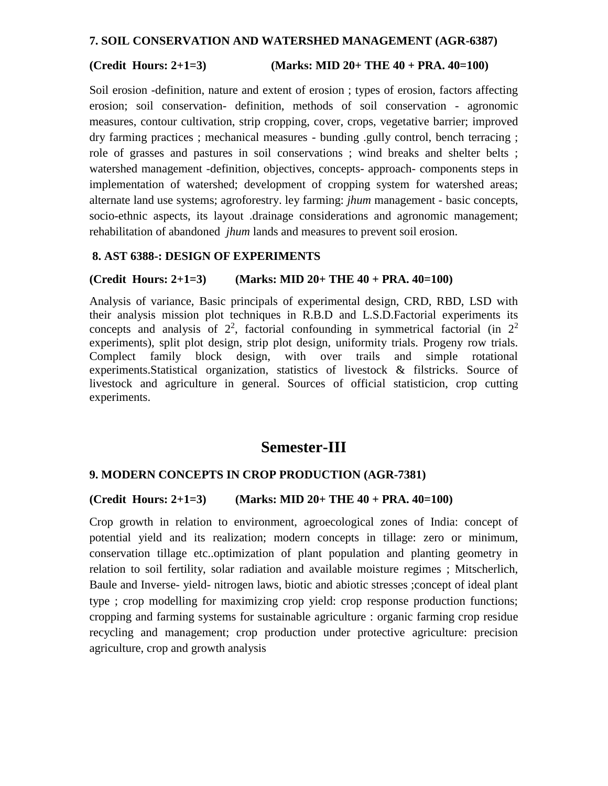### **7. SOIL CONSERVATION AND WATERSHED MANAGEMENT (AGR-6387)**

### **(Credit Hours: 2+1=3) (Marks: MID 20+ THE 40 + PRA. 40=100)**

Soil erosion -definition, nature and extent of erosion ; types of erosion, factors affecting erosion; soil conservation- definition, methods of soil conservation - agronomic measures, contour cultivation, strip cropping, cover, crops, vegetative barrier; improved dry farming practices ; mechanical measures - bunding .gully control, bench terracing ; role of grasses and pastures in soil conservations ; wind breaks and shelter belts ; watershed management -definition, objectives, concepts- approach- components steps in implementation of watershed; development of cropping system for watershed areas; alternate land use systems; agroforestry. ley farming: *jhum* management - basic concepts, socio-ethnic aspects, its layout .drainage considerations and agronomic management; rehabilitation of abandoned *jhum* lands and measures to prevent soil erosion.

### **8. AST 6388-: DESIGN OF EXPERIMENTS**

### **(Credit Hours: 2+1=3) (Marks: MID 20+ THE 40 + PRA. 40=100)**

Analysis of variance, Basic principals of experimental design, CRD, RBD, LSD with their analysis mission plot techniques in R.B.D and L.S.D.Factorial experiments its concepts and analysis of  $2^2$ , factorial confounding in symmetrical factorial (in  $2^2$ experiments), split plot design, strip plot design, uniformity trials. Progeny row trials. Complect family block design, with over trails and simple rotational experiments.Statistical organization, statistics of livestock & filstricks. Source of livestock and agriculture in general. Sources of official statisticion, crop cutting experiments.

# **Semester-III**

# **9. MODERN CONCEPTS IN CROP PRODUCTION (AGR-7381)**

### **(Credit Hours: 2+1=3) (Marks: MID 20+ THE 40 + PRA. 40=100)**

Crop growth in relation to environment, agroecological zones of India: concept of potential yield and its realization; modern concepts in tillage: zero or minimum, conservation tillage etc..optimization of plant population and planting geometry in relation to soil fertility, solar radiation and available moisture regimes ; Mitscherlich, Baule and Inverse- yield- nitrogen laws, biotic and abiotic stresses ;concept of ideal plant type ; crop modelling for maximizing crop yield: crop response production functions; cropping and farming systems for sustainable agriculture : organic farming crop residue recycling and management; crop production under protective agriculture: precision agriculture, crop and growth analysis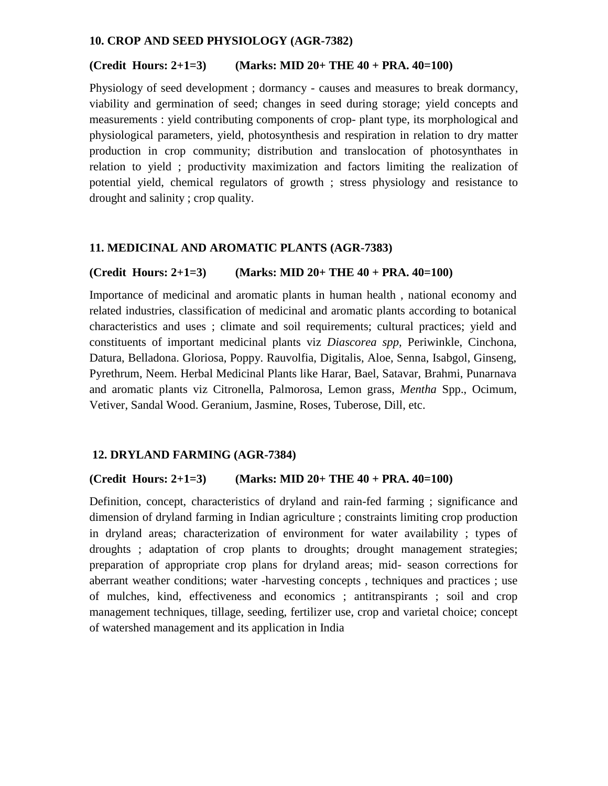### **10. CROP AND SEED PHYSIOLOGY (AGR-7382)**

### **(Credit Hours: 2+1=3) (Marks: MID 20+ THE 40 + PRA. 40=100)**

Physiology of seed development ; dormancy - causes and measures to break dormancy, viability and germination of seed; changes in seed during storage; yield concepts and measurements : yield contributing components of crop- plant type, its morphological and physiological parameters, yield, photosynthesis and respiration in relation to dry matter production in crop community; distribution and translocation of photosynthates in relation to yield ; productivity maximization and factors limiting the realization of potential yield, chemical regulators of growth ; stress physiology and resistance to drought and salinity ; crop quality.

# **11. MEDICINAL AND AROMATIC PLANTS (AGR-7383)**

### **(Credit Hours: 2+1=3) (Marks: MID 20+ THE 40 + PRA. 40=100)**

Importance of medicinal and aromatic plants in human health , national economy and related industries, classification of medicinal and aromatic plants according to botanical characteristics and uses ; climate and soil requirements; cultural practices; yield and constituents of important medicinal plants viz *Diascorea spp,* Periwinkle, Cinchona, Datura, Belladona. Gloriosa, Poppy. Rauvolfia, Digitalis, Aloe, Senna, Isabgol, Ginseng, Pyrethrum, Neem. Herbal Medicinal Plants like Harar, Bael, Satavar, Brahmi, Punarnava and aromatic plants viz Citronella, Palmorosa, Lemon grass, *Mentha* Spp., Ocimum, Vetiver, Sandal Wood. Geranium, Jasmine, Roses, Tuberose, Dill, etc.

### **12. DRYLAND FARMING (AGR-7384)**

### **(Credit Hours: 2+1=3) (Marks: MID 20+ THE 40 + PRA. 40=100)**

Definition, concept, characteristics of dryland and rain-fed farming ; significance and dimension of dryland farming in Indian agriculture ; constraints limiting crop production in dryland areas; characterization of environment for water availability ; types of droughts ; adaptation of crop plants to droughts; drought management strategies; preparation of appropriate crop plans for dryland areas; mid- season corrections for aberrant weather conditions; water -harvesting concepts , techniques and practices ; use of mulches, kind, effectiveness and economics ; antitranspirants ; soil and crop management techniques, tillage, seeding, fertilizer use, crop and varietal choice; concept of watershed management and its application in India